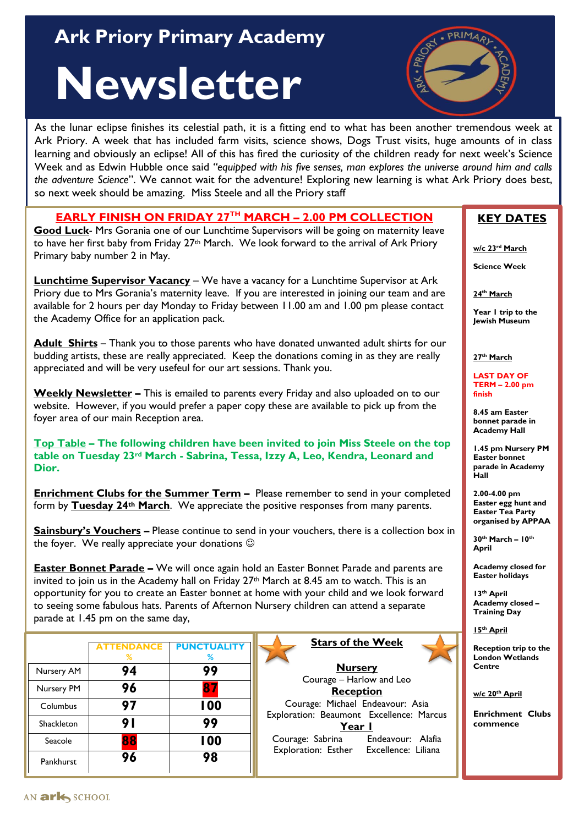# **Ark Priory Primary Academy** And Allen Assembly

# **Newsletter**



As the lunar eclipse finishes its celestial path, it is a fitting end to what has been another tremendous week at Ark Priory. A week that has included farm visits, science shows, Dogs Trust visits, huge amounts of in class learning and obviously an eclipse! All of this has fired the curiosity of the children ready for next week's Science Week and as Edwin Hubble once said *"equipped with his five senses, man explores the universe around him and calls the adventure Science*". We cannot wait for the adventure! Exploring new learning is what Ark Priory does best, so next week should be amazing. Miss Steele and all the Priory staff

**EARLY FINISH ON FRIDAY 27TH MARCH – 2.00 PM COLLECTION**

**Good Luck**- Mrs Gorania one of our Lunchtime Supervisors will be going on maternity leave to have her first baby from Friday 27<sup>th</sup> March. We look forward to the arrival of Ark Priory Primary baby number 2 in May.

**Lunchtime Supervisor Vacancy** – We have a vacancy for a Lunchtime Supervisor at Ark Priory due to Mrs Gorania's maternity leave. If you are interested in joining our team and are available for 2 hours per day Monday to Friday between 11.00 am and 1.00 pm please contact the Academy Office for an application pack.

**Adult Shirts** – Thank you to those parents who have donated unwanted adult shirts for our budding artists, these are really appreciated. Keep the donations coming in as they are really appreciated and will be very usefeul for our art sessions. Thank you.

**Weekly Newsletter –** This is emailed to parents every Friday and also uploaded on to our website. However, if you would prefer a paper copy these are available to pick up from the foyer area of our main Reception area.

**Top Table – The following children have been invited to join Miss Steele on the top table on Tuesday 23rd March - Sabrina, Tessa, Izzy A, Leo, Kendra, Leonard and Dior.**

**Enrichment Clubs for the Summer Term -** Please remember to send in your completed form by **Tuesday 24th March**. We appreciate the positive responses from many parents.

**Sainsbury's Vouchers –** Please continue to send in your vouchers, there is a collection box in the foyer. We really appreciate your donations  $\odot$ 

**Easter Bonnet Parade** – We will once again hold an Easter Bonnet Parade and parents are invited to join us in the Academy hall on Friday 27<sup>th</sup> March at 8.45 am to watch. This is an opportunity for you to create an Easter bonnet at home with your child and we look forward to seeing some fabulous hats. Parents of Afternon Nursery children can attend a separate parade at 1.45 pm on the same day,

|            | <b>ATTENDANCE</b><br>℅ | <b>PUNCTUALITY</b><br>℅ |
|------------|------------------------|-------------------------|
| Nursery AM | 94                     | 99                      |
| Nursery PM | 96                     |                         |
| Columbus   | 97                     | 100                     |
| Shackleton | 9 I                    | 99                      |
| Seacole    | 88                     | 100                     |
| Pankhurst  | 96                     | 98                      |

**Stars of the Week**

**Nursery** Courage – Harlow and Leo **Reception** Courage: Michael Endeavour: Asia Exploration: Beaumont Excellence: Marcus **Year 1** Courage: Sabrina Endeavour: Alafia Exploration: Esther Excellence: Liliana

#### **KEY DATES**

**w/c 23rd March**

**Science Week**

**24th March**

**Year 1 trip to the Jewish Museum**

**27th March**

**LAST DAY OF TERM – 2.00 pm finish**

**8.45 am Easter bonnet parade in Academy Hall**

**1.45 pm Nursery PM Easter bonnet parade in Academy Hall**

**2.00-4.00 pm Easter egg hunt and Easter Tea Party organised by APPAA**

**30th March – 10th April** 

**Academy closed for Easter holidays**

**13th April Academy closed – Training Day**



**Reception trip to the London Wetlands Centre**

**w/c 20th April**

**Enrichment Clubs commence**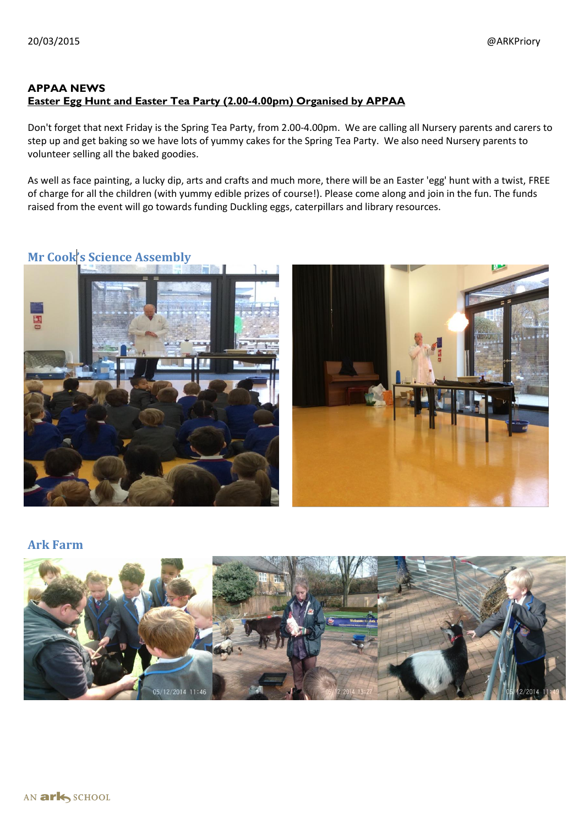#### **APPAA NEWS Easter Egg Hunt and Easter Tea Party (2.00-4.00pm) Organised by APPAA**

Don't forget that next Friday is the Spring Tea Party, from 2.00-4.00pm. We are calling all Nursery parents and carers to step up and get baking so we have lots of yummy cakes for the Spring Tea Party. We also need Nursery parents to volunteer selling all the baked goodies.

As well as face painting, a lucky dip, arts and crafts and much more, there will be an Easter 'egg' hunt with a twist, FREE of charge for all the children (with yummy edible prizes of course!). Please come along and join in the fun. The funds raised from the event will go towards funding Duckling eggs, caterpillars and library resources.

## **Mr Cook's Science Assembly**



#### **Ark Farm**